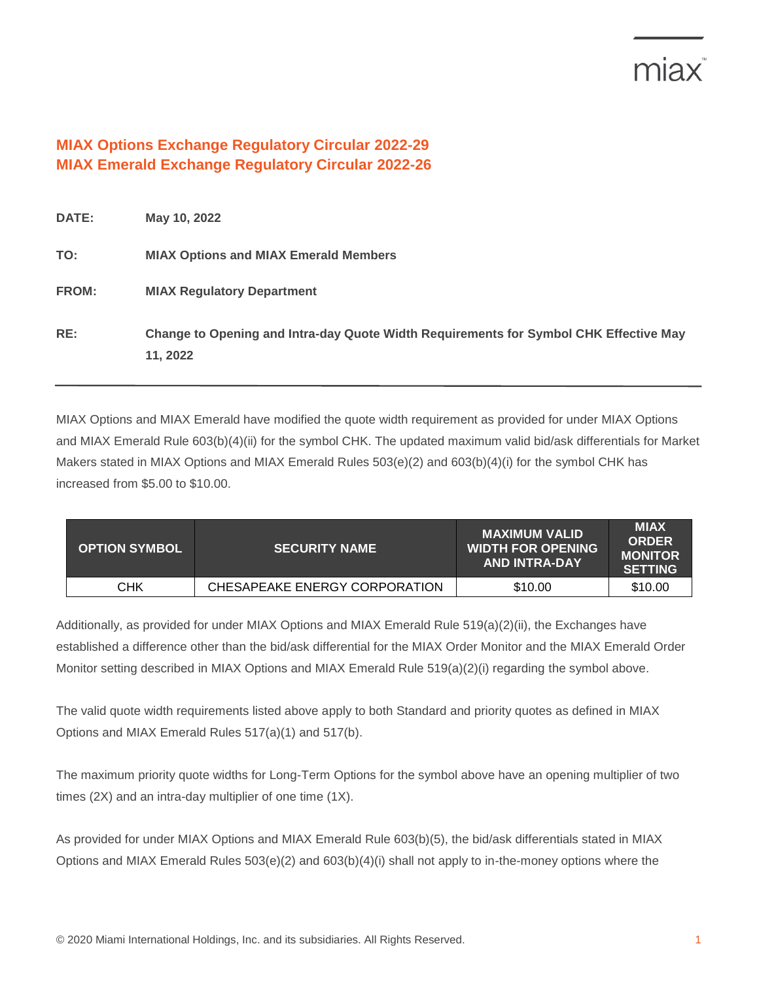## miax

## **MIAX Options Exchange Regulatory Circular 2022-29 MIAX Emerald Exchange Regulatory Circular 2022-26**

| <b>DATE:</b> | May 10, 2022                                                                                      |
|--------------|---------------------------------------------------------------------------------------------------|
| TO:          | <b>MIAX Options and MIAX Emerald Members</b>                                                      |
| <b>FROM:</b> | <b>MIAX Regulatory Department</b>                                                                 |
| RE:          | Change to Opening and Intra-day Quote Width Requirements for Symbol CHK Effective May<br>11, 2022 |

MIAX Options and MIAX Emerald have modified the quote width requirement as provided for under MIAX Options and MIAX Emerald Rule 603(b)(4)(ii) for the symbol CHK. The updated maximum valid bid/ask differentials for Market Makers stated in MIAX Options and MIAX Emerald Rules 503(e)(2) and 603(b)(4)(i) for the symbol CHK has increased from \$5.00 to \$10.00.

| <b>OPTION SYMBOL</b> | <b>SECURITY NAME</b>          | <b>MAXIMUM VALID</b><br><b>WIDTH FOR OPENING</b><br><b>AND INTRA-DAY</b> | <b>MIAX</b><br><b>ORDER</b><br><b>MONITOR</b><br><b>SETTING</b> |
|----------------------|-------------------------------|--------------------------------------------------------------------------|-----------------------------------------------------------------|
| CHK                  | CHESAPEAKE ENERGY CORPORATION | \$10.00                                                                  | \$10.00                                                         |

Additionally, as provided for under MIAX Options and MIAX Emerald Rule 519(a)(2)(ii), the Exchanges have established a difference other than the bid/ask differential for the MIAX Order Monitor and the MIAX Emerald Order Monitor setting described in MIAX Options and MIAX Emerald Rule 519(a)(2)(i) regarding the symbol above.

The valid quote width requirements listed above apply to both Standard and priority quotes as defined in MIAX Options and MIAX Emerald Rules 517(a)(1) and 517(b).

The maximum priority quote widths for Long-Term Options for the symbol above have an opening multiplier of two times (2X) and an intra-day multiplier of one time (1X).

As provided for under MIAX Options and MIAX Emerald Rule 603(b)(5), the bid/ask differentials stated in MIAX Options and MIAX Emerald Rules 503(e)(2) and 603(b)(4)(i) shall not apply to in-the-money options where the